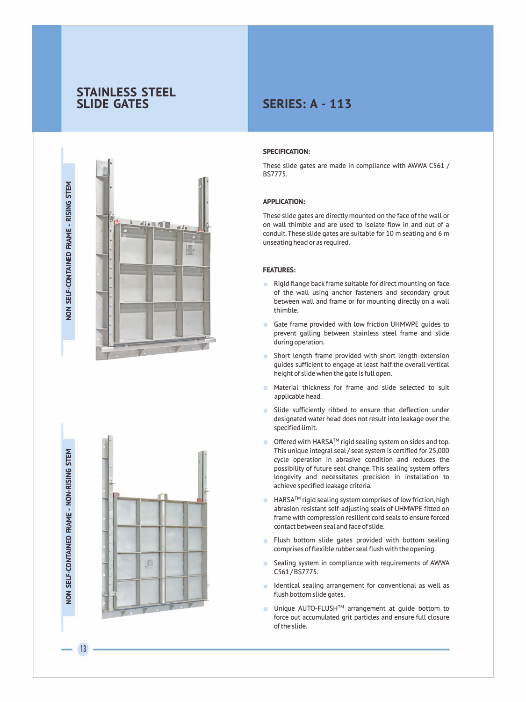## **STAINLESS STEEL SLIDE GATES**





13

# **SERIES: A - 113**

## **SPECIFICATION:**

These slide gates are made in compliance with AWWA (561 / BS7775.

## **APPLICATION:**

These slide gates are directly mounted on the face of the wall or on wall thimble and are used to isolate flow in and out of a conduit. These slide gates are suitable for 10 m seating and 6 m unseating head or as required.

## **FEATURES:**

- Rigid flange back frame suitable for direct mounting on face ٠ of the wall using anchor fasteners and secondary grout between wall and frame or for mounting directly on a wall thimble.
- Gate frame provided with Low friction UHMWPE guides to prevent galling between stainless steel frame and slide during operation.
- ۰ Short length frame provided with short length extension guides sufficient to engage at Least half the overall vertical height of slide when the gate is full open.
- Material thickness for frame and slide selected to suit ٠ applicable head.
- Slide sufficiently ribbed to ensure that deflection under designated water head does not result into leakage over the specified limit.
- Offered with HARSA™ rigid sealing system on sides and top. × This unique integral seal/ seat system is certified for 25,000 cycle operation in abrasive condition and reduces the possibility of future seal change. This sealing system offers longevity and necessitates precision in installation to achieve specified leakage criteria.
- HARSA<sup>™</sup> rigid sealing system comprises of low friction, high ۰ abrasion resistant self-adjusting seals of UHMWPE fitted on frame with compression resilient cord seals to ensure forced contact between seal and face of slide.
- Flush bottom slide gates provided with bottom sealing comprises of flexible rubber seal flush with the opening.
- Sealing system in compliance with requirements of AWWA ٠ C561/BS7775.
- ٠ Identical sealing arrangement for conventional as well as flush bottom slide gates.
- Unique AUTO-FLUSH™ arrangement at guide bottom to force out accumulated grit particles and ensure full closure of the slide.

**w NED**<br>**E** � **SELF-CO z 0 z**